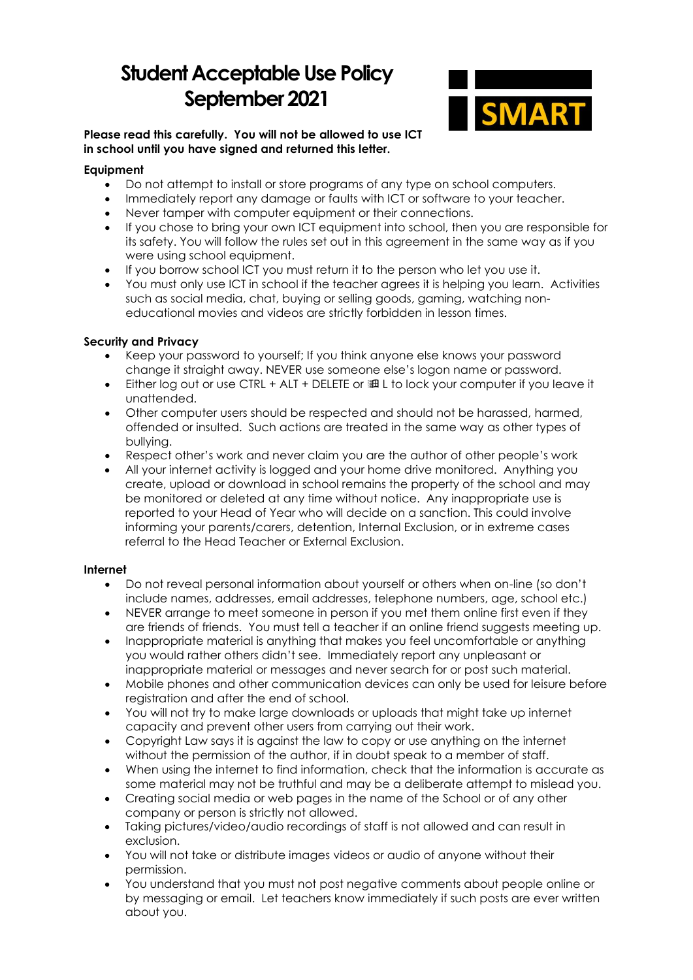# **Student Acceptable Use Policy September 2021**



### **Please read this carefully. You will not be allowed to use ICT in school until you have signed and returned this letter.**

## **Equipment**

- Do not attempt to install or store programs of any type on school computers.
- Immediately report any damage or faults with ICT or software to your teacher.
- Never tamper with computer equipment or their connections.
- If you chose to bring your own ICT equipment into school, then you are responsible for its safety. You will follow the rules set out in this agreement in the same way as if you were using school equipment.
- If you borrow school ICT you must return it to the person who let you use it.
- You must only use ICT in school if the teacher agrees it is helping you learn. Activities such as social media, chat, buying or selling goods, gaming, watching noneducational movies and videos are strictly forbidden in lesson times.

### **Security and Privacy**

- Keep your password to yourself; If you think anyone else knows your password change it straight away. NEVER use someone else's logon name or password.
- Either log out or use CTRL + ALT + DELETE or and L to lock your computer if you leave it unattended.
- Other computer users should be respected and should not be harassed, harmed, offended or insulted. Such actions are treated in the same way as other types of bullying.
- Respect other's work and never claim you are the author of other people's work
- All your internet activity is logged and your home drive monitored. Anything you create, upload or download in school remains the property of the school and may be monitored or deleted at any time without notice. Any inappropriate use is reported to your Head of Year who will decide on a sanction. This could involve informing your parents/carers, detention, Internal Exclusion, or in extreme cases referral to the Head Teacher or External Exclusion.

#### **Internet**

- Do not reveal personal information about yourself or others when on-line (so don't include names, addresses, email addresses, telephone numbers, age, school etc.)
- NEVER arrange to meet someone in person if you met them online first even if they are friends of friends. You must tell a teacher if an online friend suggests meeting up.
- Inappropriate material is anything that makes you feel uncomfortable or anything you would rather others didn't see. Immediately report any unpleasant or inappropriate material or messages and never search for or post such material.
- Mobile phones and other communication devices can only be used for leisure before registration and after the end of school.
- You will not try to make large downloads or uploads that might take up internet capacity and prevent other users from carrying out their work.
- Copyright Law says it is against the law to copy or use anything on the internet without the permission of the author, if in doubt speak to a member of staff.
- When using the internet to find information, check that the information is accurate as some material may not be truthful and may be a deliberate attempt to mislead you.
- Creating social media or web pages in the name of the School or of any other company or person is strictly not allowed.
- Taking pictures/video/audio recordings of staff is not allowed and can result in exclusion.
- You will not take or distribute images videos or audio of anyone without their permission.
- You understand that you must not post negative comments about people online or by messaging or email. Let teachers know immediately if such posts are ever written about you.